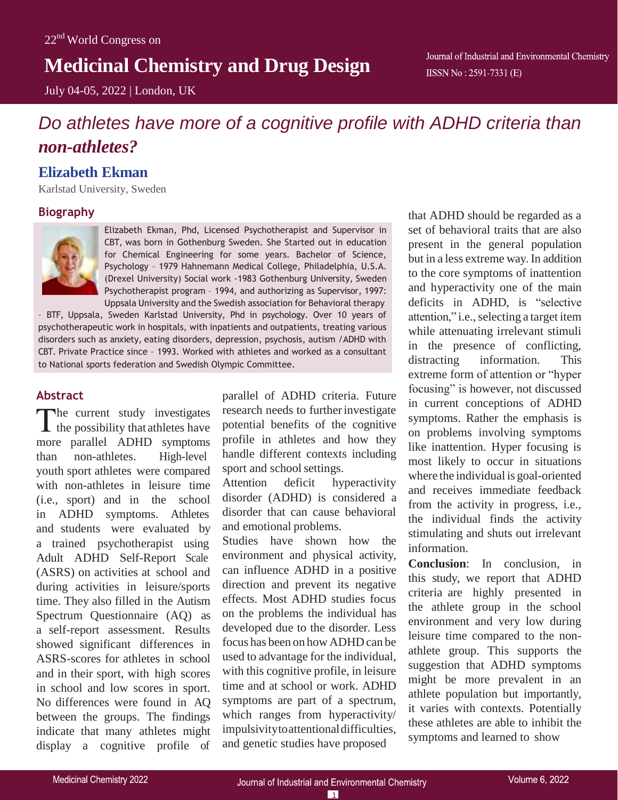## **Medicinal Chemistry and Drug Design**

July 04-05, 2022 | London, UK

# *Do athletes have more of a cognitive profile with ADHD criteria than non-athletes?*

## **Elizabeth Ekman**

Karlstad University, Sweden

## **Biography**



Elizabeth Ekman, Phd, Licensed Psychotherapist and Supervisor in CBT, was born in Gothenburg Sweden. She Started out in education for Chemical Engineering for some years. Bachelor of Science, Psychology – 1979 Hahnemann Medical College, Philadelphia, U.S.A. (Drexel University) Social work -1983 Gothenburg University, Sweden Psychotherapist program – 1994, and authorizing as Supervisor, 1997: Uppsala University and the Swedish association for Behavioral therapy

– BTF, Uppsala, Sweden Karlstad University, Phd in psychology. Over 10 years of psychotherapeutic work in hospitals, with inpatients and outpatients, treating various disorders such as anxiety, eating disorders, depression, psychosis, autism /ADHD with CBT. Private Practice since – 1993. Worked with athletes and worked as a consultant to National sports federation and Swedish Olympic Committee.

## **Abstract**

The current study investigates  $\blacktriangle$  the possibility that athletes have more parallel ADHD symptoms than non-athletes. High-level youth sport athletes were compared with non-athletes in leisure time (i.e., sport) and in the school in ADHD symptoms. Athletes and students were evaluated by a trained psychotherapist using Adult ADHD Self-Report Scale (ASRS) on activities at school and during activities in leisure/sports time. They also filled in the Autism Spectrum Questionnaire (AQ) as a self-report assessment. Results showed significant differences in ASRS-scores for athletes in school and in their sport, with high scores in school and low scores in sport. No differences were found in AQ between the groups. The findings indicate that many athletes might display a cognitive profile of

parallel of ADHD criteria. Future research needs to further investigate potential benefits of the cognitive profile in athletes and how they handle different contexts including sport and school settings.

Attention deficit hyperactivity disorder (ADHD) is considered a disorder that can cause behavioral and emotional problems.

Studies have shown how the environment and physical activity, can influence ADHD in a positive direction and prevent its negative effects. Most ADHD studies focus on the problems the individual has developed due to the disorder. Less focus has been on how ADHD can be used to advantage for the individual, with this cognitive profile, in leisure time and at school or work. ADHD symptoms are part of a spectrum, which ranges from hyperactivity/ impulsivitytoattentionaldifficulties, and genetic studies have proposed

that ADHD should be regarded as a set of behavioral traits that are also present in the general population but in a less extreme way. In addition to the core symptoms of inattention and hyperactivity one of the main deficits in ADHD, is "selective attention," i.e., selecting a target item while attenuating irrelevant stimuli in the presence of conflicting, distracting information. This extreme form of attention or "hyper focusing" is however, not discussed in current conceptions of ADHD symptoms. Rather the emphasis is on problems involving symptoms like inattention. Hyper focusing is most likely to occur in situations where the individual is goal-oriented and receives immediate feedback from the activity in progress, i.e., the individual finds the activity stimulating and shuts out irrelevant information.

**Conclusion**: In conclusion, in this study, we report that ADHD criteria are highly presented in the athlete group in the school environment and very low during leisure time compared to the nonathlete group. This supports the suggestion that ADHD symptoms might be more prevalent in an athlete population but importantly, it varies with contexts. Potentially these athletes are able to inhibit the symptoms and learned to show